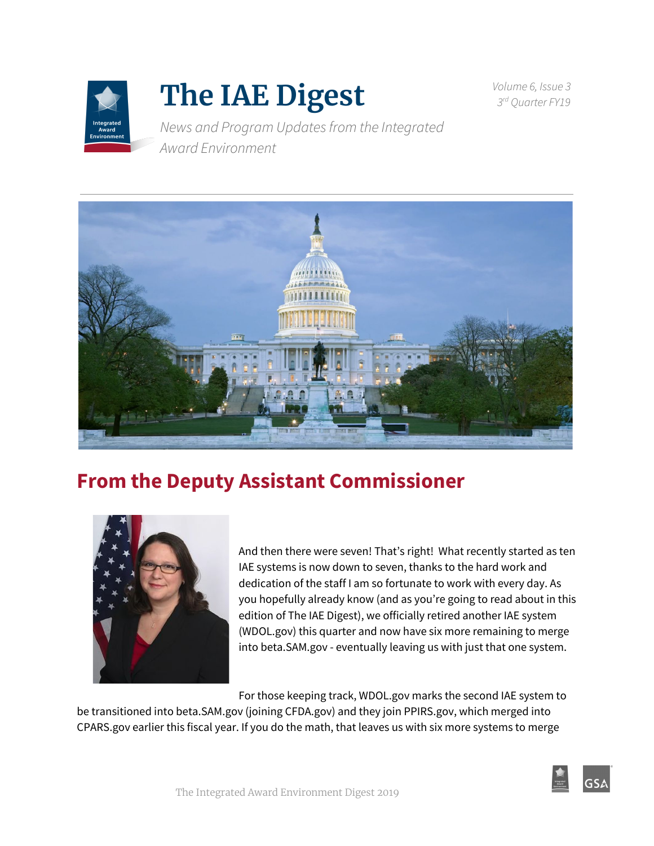

# **The IAE Digest**

*Volume 6, Issue 3 3 rd Quarter FY19*

*News and Program Updatesfrom the Integrated Award Environment*



### **From the Deputy Assistant Commissioner**



And then there were seven! That's right! What recently started as ten IAE systems is now down to seven, thanks to the hard work and dedication of the staff I am so fortunate to work with every day. As you hopefully already know (and as you're going to read about in this edition of The IAE Digest), we officially retired another IAE system (WDOL.gov) this quarter and now have six more remaining to merge into beta.SAM.gov - eventually leaving us with just that one system.

For those keeping track, WDOL.gov marks the second IAE system to

be transitioned into beta.SAM.gov (joining CFDA.gov) and they join PPIRS.gov, which merged into CPARS.gov earlier this fiscal year. If you do the math, that leaves us with six more systems to merge

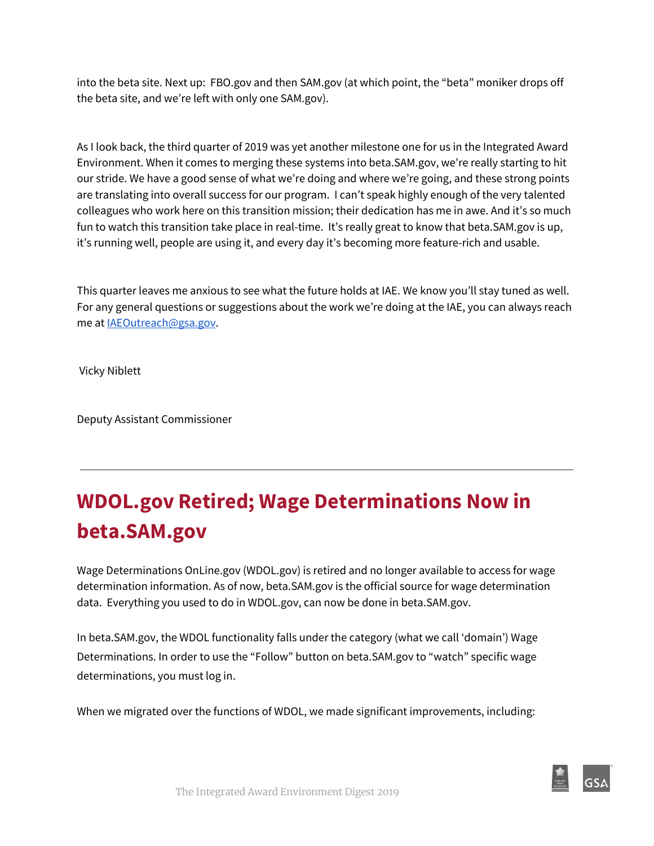into the beta site. Next up: FBO.gov and then SAM.gov (at which point, the "beta" moniker drops off the beta site, and we're left with only one SAM.gov).

As I look back, the third quarter of 2019 was yet another milestone one for us in the Integrated Award Environment. When it comes to merging these systems into beta.SAM.gov, we're really starting to hit our stride. We have a good sense of what we're doing and where we're going, and these strong points are translating into overall success for our program. I can't speak highly enough of the very talented colleagues who work here on this transition mission; their dedication has me in awe. And it's so much fun to watch this transition take place in real-time. It's really great to know that beta.SAM.gov is up, it's running well, people are using it, and every day it's becoming more feature-rich and usable.

This quarter leaves me anxious to see what the future holds at IAE. We know you'll stay tuned as well. For any general questions or suggestions about the work we're doing at the IAE, you can always reach me at [IAEOutreach@gsa.gov](mailto:IAEOutreach@gsa.gov).

Vicky Niblett

Deputy Assistant Commissioner

## **WDOL.gov Retired; Wage Determinations Now in beta.SAM.gov**

Wage Determinations OnLine.gov (WDOL.gov) is retired and no longer available to access for wage determination information. As of now, beta.SAM.gov is the official source for wage determination data. Everything you used to do in WDOL.gov, can now be done in beta.SAM.gov.

In beta.SAM.gov, the WDOL functionality falls under the category (what we call 'domain') Wage Determinations. In order to use the "Follow" button on beta.SAM.gov to "watch" specific wage determinations, you must log in.

When we migrated over the functions of WDOL, we made significant improvements, including: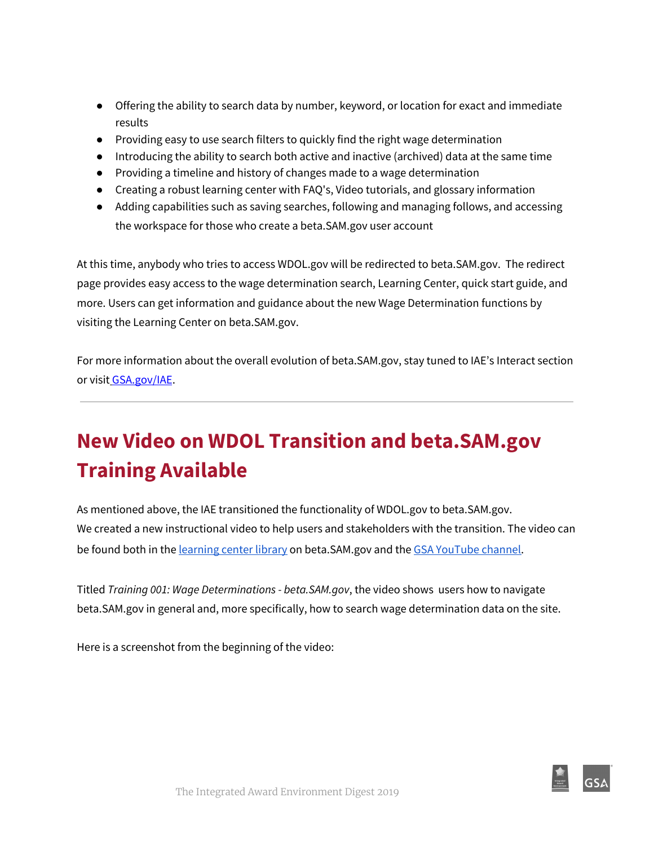- Offering the ability to search data by number, keyword, or location for exact and immediate results
- Providing easy to use search filters to quickly find the right wage determination
- Introducing the ability to search both active and inactive (archived) data at the same time
- Providing a timeline and history of changes made to a wage determination
- Creating a robust learning center with FAQ's, Video tutorials, and glossary information
- Adding capabilities such as saving searches, following and managing follows, and accessing the workspace for those who create a beta.SAM.go[v](http://beta.sam.gov/) user account

At this time, anybody who tries to access WDOL.gov will be redirected to beta.SAM.gov. The redirect page provides easy access to the wage determination search, Learning Center, quick start guide, and more. Users can get information and guidance about the new Wage Determination functions by visiting the Learning Center on beta.SAM.gov.

For more information about the overall evolution of beta.SAM.gov, stay tuned to IAE's Interact section or visit [GSA.gov/IAE](https://www.gsa.gov/about-us/organization/federal-acquisition-service/office-of-systems-management/integrated-award-environment-iae/betasamgov-press-kit).

## **New Video on WDOL Transition and beta.SAM.gov Training Available**

As mentioned above, the IAE transitioned the functionality of WDOL.gov to beta.SAM.gov. We created a new instructional video to help users and stakeholders with the transition. The video can b[e](https://beta.sam.gov/cm/videos/detail?id=142&path=2) found both in the [learning](https://beta.sam.gov/cm/videos/detail?id=142&path=2) center library on beta.SAM.gov and the [G](https://youtu.be/Nu-FmQgwsck)SA [YouTube](https://youtu.be/Nu-FmQgwsck) channel.

Titled *Training 001: Wage Determinations - beta.SAM.gov*, the video shows users how to navigate beta.SAM.gov in general and, more specifically, how to search wage determination data on the site.

Here is a screenshot from the beginning of the video:

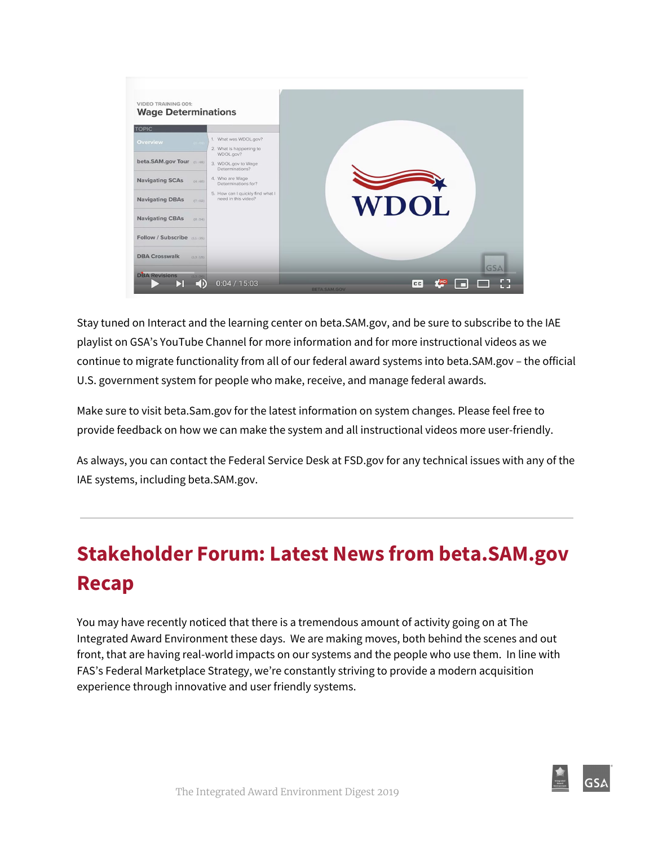

Stay tuned on Interact and the learning center on beta.SAM.gov, and be sure to subscribe to the IAE playlist on GSA's YouTube Channel for more information and for more instructional videos as we continue to migrate functionality from all of our federal award systems into beta.SAM.gov – the official U.S. government system for people who make, receive, and manage federal awards.

Make sure to visit beta.Sam.gov for the latest information on system changes. Please feel free to provide feedback on how we can make the system and all instructional videos more user-friendly.

As always, you can contact the Federal Service Desk at FSD.gov for any technical issues with any of the IAE systems, including beta.SAM.gov.

## **Stakeholder Forum: Latest News from beta.SAM.gov Recap**

You may have recently noticed that there is a tremendous amount of activity going on at The Integrated Award Environment these days. We are making moves, both behind the scenes and out front, that are having real-world impacts on our systems and the people who use them. In line with FAS's Federal Marketplace Strategy, we're constantly striving to provide a modern acquisition experience through innovative and user friendly systems.

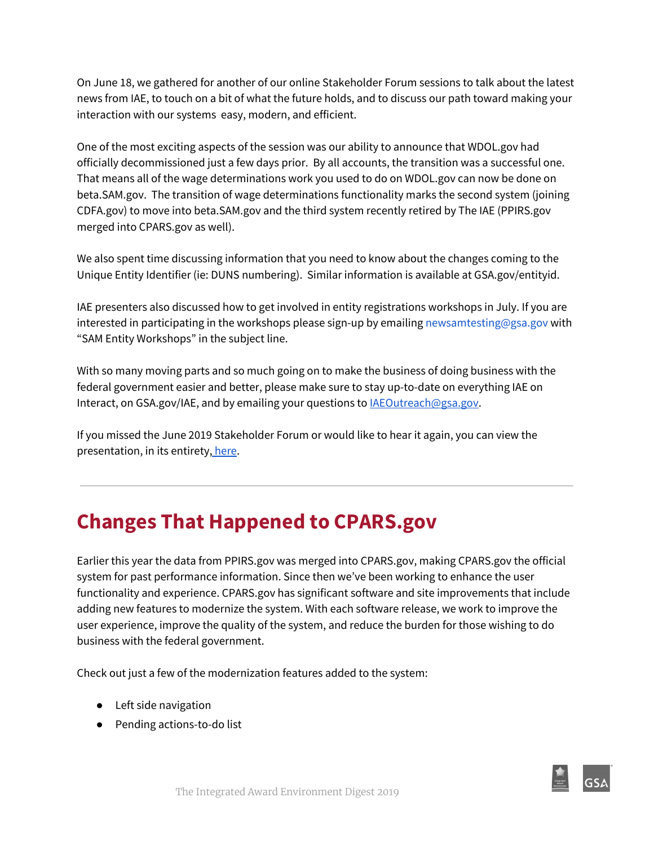On June 18, we gathered for another of our online Stakeholder Forum sessions to talk about the latest news from IAE, to touch on a bit of what the future holds, and to discuss our path toward making your interaction with our systems easy, modern, and efficient.

One of the most exciting aspects of the session was our ability to announce that WDOL.gov had officially decommissioned just a few days prior. By all accounts, the transition was a successful one. That means all of the wage determinations work you used to do on WDOL.gov can now be done on beta.SAM.gov. The transition of wage determinations functionality marks the second system (joining CDFA.gov) to move into beta.SAM.gov and the third system recently retired by The IAE (PPIRS.gov merged into CPARS.gov as well).

We also spent time discussing information that you need to know about the changes coming to the Unique Entity Identifier (ie: DUNS numbering). Similar information is available at GSA.gov/entityid.

IAE presenters also discussed how to get involved in entity registrations workshops in July. If you are interested in participating in the workshops please sign-up by emailing newsamtesting@gsa.gov with "SAM Entity Workshops" in the subject line.

With so many moving parts and so much going on to make the business of doing business with the federal government easier and better, please make sure to stay up-to-date on everything IAE on Interact, on GSA.gov/IAE, and by emailing your questions to [IAEOutreach@gsa.gov](mailto:IAEOutreach@gsa.gov).

If you missed the June 2019 Stakeholder Forum or would like to hear it again, you can view the presentation, in its entirety, [here.](https://meet.gsa.gov/p8b1iso82wqd/)

### **Changes That Happened to CPARS.gov**

Earlier this year the data from PPIRS.gov was merged into CPARS.gov, making CPARS.gov the official system for past performance information. Since then we've been working to enhance the user functionality and experience. CPARS.gov has significant software and site improvements that include adding new features to modernize the system. With each software release, we work to improve the user experience, improve the quality of the system, and reduce the burden for those wishing to do business with the federal government.

Check out just a few of the modernization features added to the system:

- Left side navigation
- Pending actions-to-do list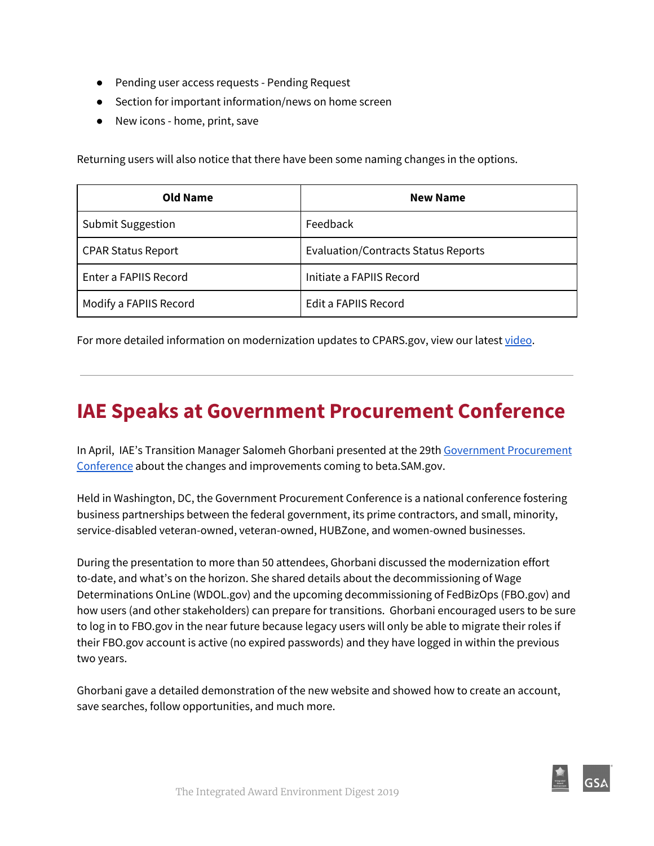- Pending user access requests Pending Request
- Section for important information/news on home screen
- New icons home, print, save

Returning users will also notice that there have been some naming changes in the options.

| <b>Old Name</b>           | <b>New Name</b>                     |  |
|---------------------------|-------------------------------------|--|
| <b>Submit Suggestion</b>  | Feedback                            |  |
| <b>CPAR Status Report</b> | Evaluation/Contracts Status Reports |  |
| Enter a FAPIIS Record     | Initiate a FAPIIS Record            |  |
| Modify a FAPIIS Record    | Edit a FAPIIS Record                |  |

For more detailed information on modernization updates to CPARS.gov, view our latest [video](https://www.cpars.gov/videos/Tutorial/Modernization_Tutorial/Modernization_Tutorial.html).

### **IAE Speaks at Government Procurement Conference**

In April, IAE's Transition Manager Salomeh Ghorbani presented at the 29th [G](https://www.fbcinc.com/e/procurement/)overnment [Procurement](https://www.fbcinc.com/e/procurement/) [Conference](https://www.fbcinc.com/e/procurement/) about the changes and improvements coming to beta.SAM.gov.

Held in Washington, DC, the Government Procurement Conference is a national conference fostering business partnerships between the federal government, its prime contractors, and small, minority, service-disabled veteran-owned, veteran-owned, HUBZone, and women-owned businesses.

During the presentation to more than 50 attendees, Ghorbani discussed the modernization effort to-date, and what's on the horizon. She shared details about the decommissioning of Wage Determinations OnLine (WDOL.gov) and the upcoming decommissioning of FedBizOps (FBO.gov) and how users (and other stakeholders) can prepare for transitions. Ghorbani encouraged users to be sure to log in to FBO.gov in the near future because legacy users will only be able to migrate their roles if their FBO.gov account is active (no expired passwords) and they have logged in within the previous two years.

Ghorbani gave a detailed demonstration of the new website and showed how to create an account, save searches, follow opportunities, and much more.

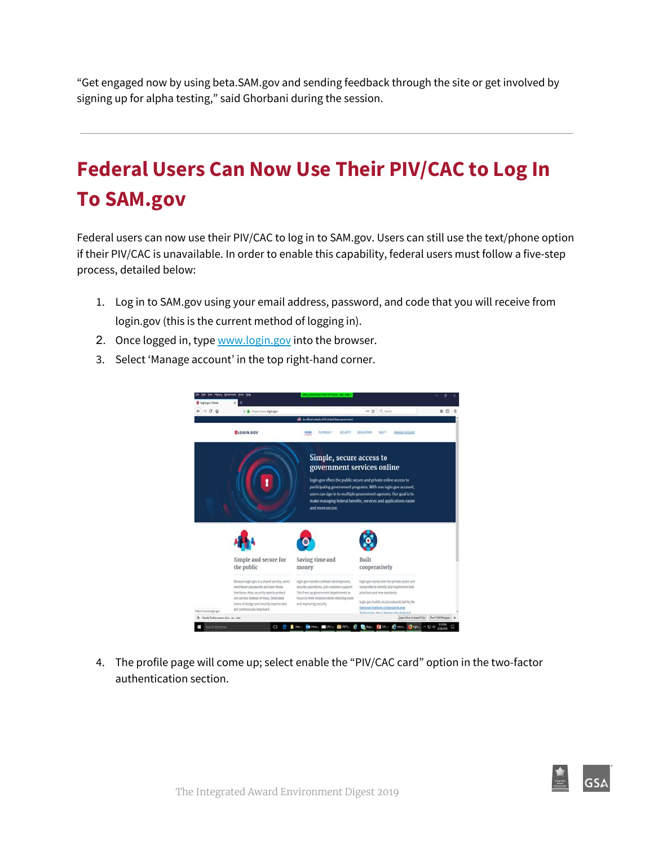"Get engaged now by using beta.SAM.gov and sending feedback through the site or get involved by signing up for alpha testing," said Ghorbani during the session.

## **Federal Users Can Now Use Their PIV/CAC to Log In To SAM.gov**

Federal users can now use their PIV/CAC to log in to SAM.gov. Users can still use the text/phone option if their PIV/CAC is unavailable. In order to enable this capability, federal users must follow a five-step process, detailed below:

- 1. Log in to SAM.gov using your email address, password, and code that you will receive from login.gov (this is the current method of logging in).
- 2. Once logged in, type [www.login.gov](http://www.login.gov/) into the browser.
- 3. Select 'Manage account' in the top right-hand corner.



4. The profile page will come up; select enable the "PIV/CAC card" option in the two-factor authentication section.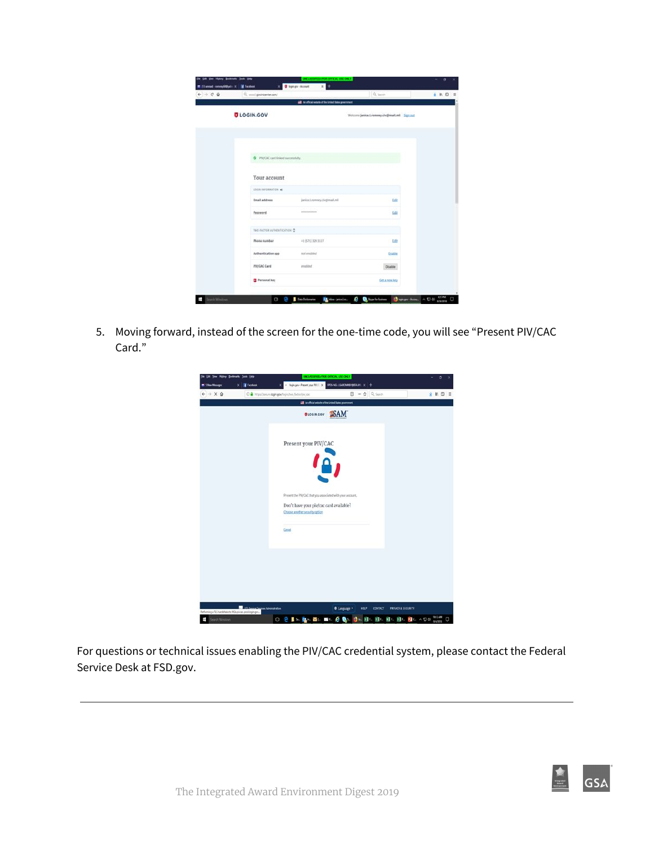| $+ + 0.9$ | Q. usual govinicenter.com/         |                                            | Q. term                                       | ± n □ = |
|-----------|------------------------------------|--------------------------------------------|-----------------------------------------------|---------|
|           |                                    | all teacher when it is treet late partner. |                                               |         |
|           | <b>ULOGIN.GOV</b>                  |                                            | Wolcomic Jankas Lrommey.chr@mail.mil Sign auf |         |
|           |                                    |                                            |                                               |         |
|           | O PR/CAC card finish successfully. |                                            |                                               |         |
|           | Your account                       |                                            |                                               |         |
|           | LOSIN INFORMATION #                |                                            |                                               |         |
|           | Email address                      | janice.t.ransney.civgtmal.mil              | till                                          |         |
|           | Password.                          |                                            | 6dB                                           |         |
|           | TWO FACTOR AUTHENTICATION C        |                                            |                                               |         |
|           | <b>Phone number</b>                | +1 (571) 129-3117                          | Edit                                          |         |
|           | Authentication app                 | ist enabled                                | Enable                                        |         |
|           | <b>PIV/CAC Card</b>                | erabled                                    | <b>Disable</b>                                |         |
|           | <b>E</b> Personal key              |                                            | Get a new key                                 |         |

5. Moving forward, instead of the screen for the one-time code, you will see "Present PIV/CAC Card."



For questions or technical issues enabling the PIV/CAC credential system, please contact the Federal Service Desk at FSD.gov.

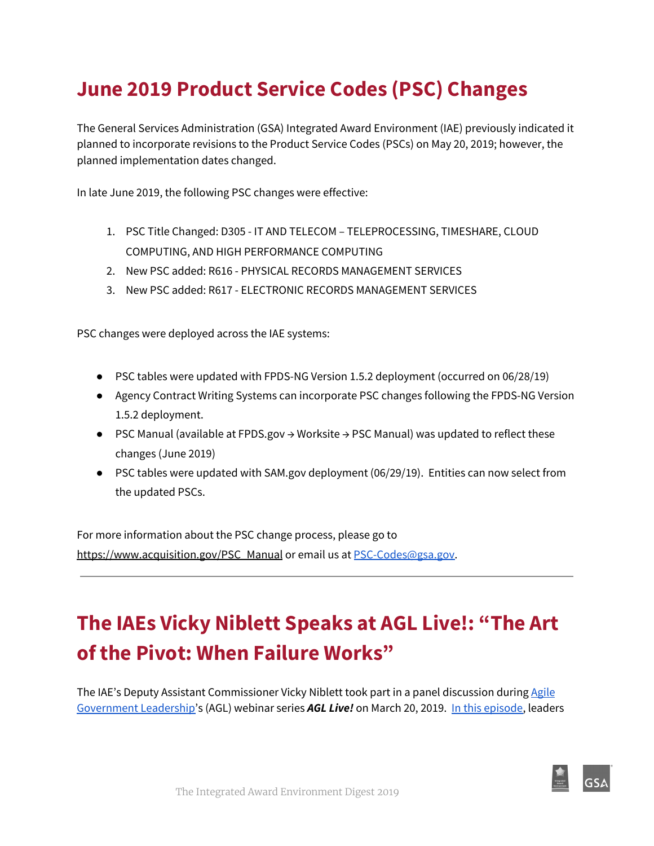## **June 2019 Product Service Codes (PSC) Changes**

The General Services Administration (GSA) Integrated Award Environment (IAE) previously indicated it planned to incorporate revisions to the Product Service Codes (PSCs) on May 20, 2019; however, the planned implementation dates changed.

In late June 2019, the following PSC changes were effective:

- 1. PSC Title Changed: D305 IT AND TELECOM TELEPROCESSING, TIMESHARE, CLOUD COMPUTING, AND HIGH PERFORMANCE COMPUTING
- 2. New PSC added: R616 PHYSICAL RECORDS MANAGEMENT SERVICES
- 3. New PSC added: R617 ELECTRONIC RECORDS MANAGEMENT SERVICES

PSC changes were deployed across the IAE systems:

- PSC tables were updated with FPDS-NG Version 1.5.2 deployment (occurred on 06/28/19)
- Agency Contract Writing Systems can incorporate PSC changes following the FPDS-NG Version 1.5.2 deployment.
- PSC Manual (available at FPDS.gov → Worksite → PSC Manual) was updated to reflect these changes (June 2019)
- PSC tables were updated with SAM.gov deployment (06/29/19). Entities can now select from the updated PSCs.

For more information about the PSC change process, please go t[o](https://www.acquisition.gov/PSC_Manual) [https://www.acquisition.gov/PSC\\_Manual](https://www.acquisition.gov/PSC_Manual) or email us at [PSC-Codes@gsa.gov.](mailto:PSC-Codes@gsa.gov)

## **The IAEs Vicky Niblett Speaks at AGL Live!: "The Art of the Pivot: When Failure Works"**

The IAE's Deputy Assistant Commissioner Vicky Niblett took part in a panel discussion durin[g](https://www.agilegovleaders.org/live/) [Agile](https://www.agilegovleaders.org/live/) [Government](https://www.agilegovleaders.org/live/) Leadership's (AGL) webinar series *AGL Live!* on March 20, 2019. In this [episode,](https://www.youtube.com/watch?time_continue=1&v=17rldeHDyE8) leaders

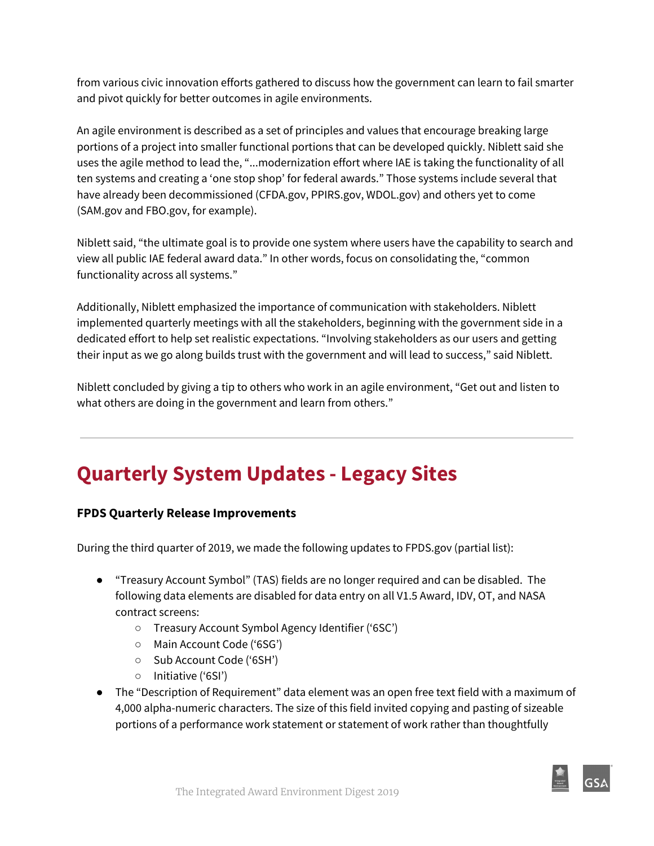from various civic innovation efforts gathered to discuss how the government can learn to fail smarter and pivot quickly for better outcomes in agile environments.

An agile environment is described as a set of principles and values that encourage breaking large portions of a project into smaller functional portions that can be developed quickly. Niblett said she uses the agile method to lead the, "...modernization effort where IAE is taking the functionality of all ten systems and creating a 'one stop shop' for federal awards." Those systems include several that have already been decommissioned (CFDA.gov, PPIRS.gov, WDOL.gov) and others yet to come (SAM.gov and FBO.gov, for example).

Niblett said, "the ultimate goal is to provide one system where users have the capability to search and view all public IAE federal award data." In other words, focus on consolidating the, "common functionality across all systems."

Additionally, Niblett emphasized the importance of communication with stakeholders. Niblett implemented quarterly meetings with all the stakeholders, beginning with the government side in a dedicated effort to help set realistic expectations. "Involving stakeholders as our users and getting their input as we go along builds trust with the government and will lead to success," said Niblett.

Niblett concluded by giving a tip to others who work in an agile environment, "Get out and listen to what others are doing in the government and learn from others."

### **Quarterly System Updates - Legacy Sites**

#### **FPDS Quarterly Release Improvements**

During the third quarter of 2019, we made the following updates to FPDS.gov (partial list):

- "Treasury Account Symbol" (TAS) fields are no longer required and can be disabled. The following data elements are disabled for data entry on all V1.5 Award, IDV, OT, and NASA contract screens:
	- Treasury Account Symbol Agency Identifier ('6SC')
	- Main Account Code ('6SG')
	- Sub Account Code ('6SH')
	- Initiative ('6SI')
- The "Description of Requirement" data element was an open free text field with a maximum of 4,000 alpha-numeric characters. The size of this field invited copying and pasting of sizeable portions of a performance work statement or statement of work rather than thoughtfully

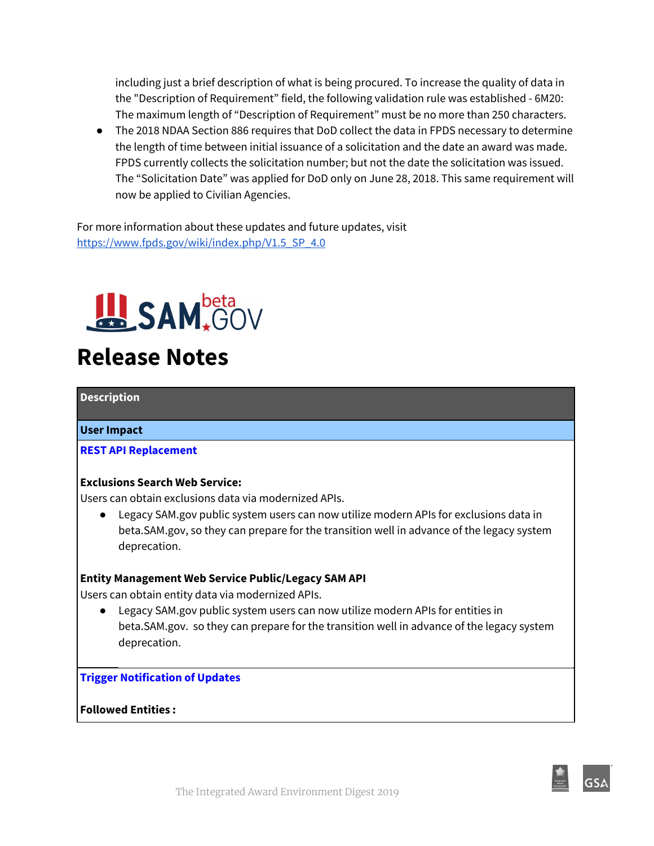including just a brief description of what is being procured. To increase the quality of data in the "Description of Requirement" field, the following validation rule was established - 6M20: The maximum length of "Description of Requirement" must be no more than 250 characters.

● The 2018 NDAA Section 886 requires that DoD collect the data in FPDS necessary to determine the length of time between initial issuance of a solicitation and the date an award was made. FPDS currently collects the solicitation number; but not the date the solicitation was issued. The "Solicitation Date" was applied for DoD only on June 28, 2018. This same requirement will now be applied to Civilian Agencies.

For more information about these updates and future updates, visit [https://www.fpds.gov/wiki/index.php/V1.5\\_SP\\_4.0](https://www.fpds.gov/wiki/index.php/V1.5_SP_4.0)



## **Release Notes**

#### **Description**

#### **User Impact**

#### **REST API Replacement**

#### **Exclusions Search Web Service:**

Users can obtain exclusions data via modernized APIs.

● Legacy SAM.gov public system users can now utilize modern APIs for exclusions data in beta.SAM.gov, so they can prepare for the transition well in advance of the legacy system deprecation.

#### **Entity Management Web Service Public/Legacy SAM API**

Users can obtain entity data via modernized APIs.

● Legacy SAM.gov public system users can now utilize modern APIs for entities in beta.SAM.gov. so they can prepare for the transition well in advance of the legacy system deprecation.

**Trigger Notification of Updates**

**Followed Entities :**

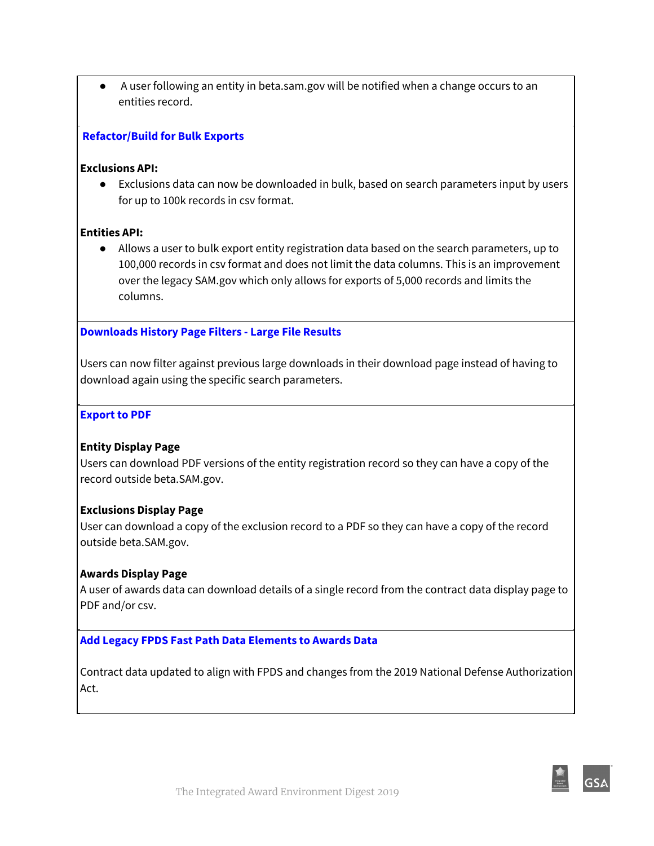● A user following an entity in beta.sam.gov will be notified when a change occurs to an entities record.

#### **Refactor/Build for Bulk Exports**

#### **Exclusions API:**

● Exclusions data can now be downloaded in bulk, based on search parameters input by users for up to 100k records in csv format.

#### **Entities API:**

● Allows a user to bulk export entity registration data based on the search parameters, up to 100,000 records in csv format and does not limit the data columns. This is an improvement over the legacy SAM.gov which only allows for exports of 5,000 records and limits the columns.

#### **Downloads History Page Filters - Large File Results**

Users can now filter against previous large downloads in their download page instead of having to download again using the specific search parameters.

#### **Export to PDF**

#### **Entity Display Page**

Users can download PDF versions of the entity registration record so they can have a copy of the record outside beta.SAM.gov.

#### **Exclusions Display Page**

User can download a copy of the exclusion record to a PDF so they can have a copy of the record outside beta.SAM.gov.

#### **Awards Display Page**

A user of awards data can download details of a single record from the contract data display page to PDF and/or csv.

#### **Add Legacy FPDS Fast Path Data Elements to Awards Data**

Contract data updated to align with FPDS and changes from the 2019 National Defense Authorization Act.